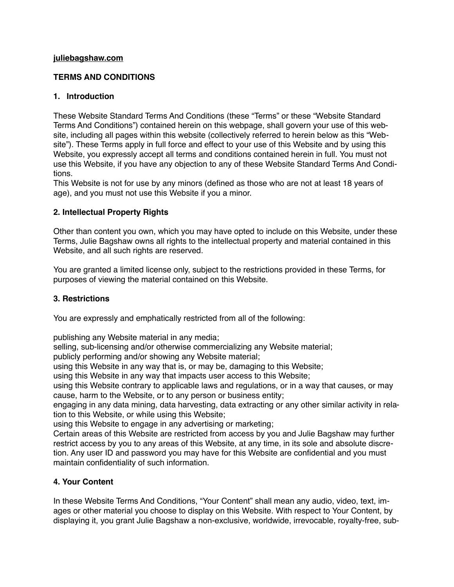#### **[juliebagshaw.com](http://juliebagshaw.com)**

# **TERMS AND CONDITIONS**

# **1. Introduction**

These Website Standard Terms And Conditions (these "Terms" or these "Website Standard Terms And Conditions") contained herein on this webpage, shall govern your use of this website, including all pages within this website (collectively referred to herein below as this "Website"). These Terms apply in full force and effect to your use of this Website and by using this Website, you expressly accept all terms and conditions contained herein in full. You must not use this Website, if you have any objection to any of these Website Standard Terms And Conditions.

This Website is not for use by any minors (defined as those who are not at least 18 years of age), and you must not use this Website if you a minor.

# **2. Intellectual Property Rights**

Other than content you own, which you may have opted to include on this Website, under these Terms, Julie Bagshaw owns all rights to the intellectual property and material contained in this Website, and all such rights are reserved.

You are granted a limited license only, subject to the restrictions provided in these Terms, for purposes of viewing the material contained on this Website.

# **3. Restrictions**

You are expressly and emphatically restricted from all of the following:

publishing any Website material in any media;

selling, sub-licensing and/or otherwise commercializing any Website material;

publicly performing and/or showing any Website material;

using this Website in any way that is, or may be, damaging to this Website;

using this Website in any way that impacts user access to this Website;

using this Website contrary to applicable laws and regulations, or in a way that causes, or may cause, harm to the Website, or to any person or business entity;

engaging in any data mining, data harvesting, data extracting or any other similar activity in relation to this Website, or while using this Website;

using this Website to engage in any advertising or marketing;

Certain areas of this Website are restricted from access by you and Julie Bagshaw may further restrict access by you to any areas of this Website, at any time, in its sole and absolute discretion. Any user ID and password you may have for this Website are confidential and you must maintain confidentiality of such information.

# **4. Your Content**

In these Website Terms And Conditions, "Your Content" shall mean any audio, video, text, images or other material you choose to display on this Website. With respect to Your Content, by displaying it, you grant Julie Bagshaw a non-exclusive, worldwide, irrevocable, royalty-free, sub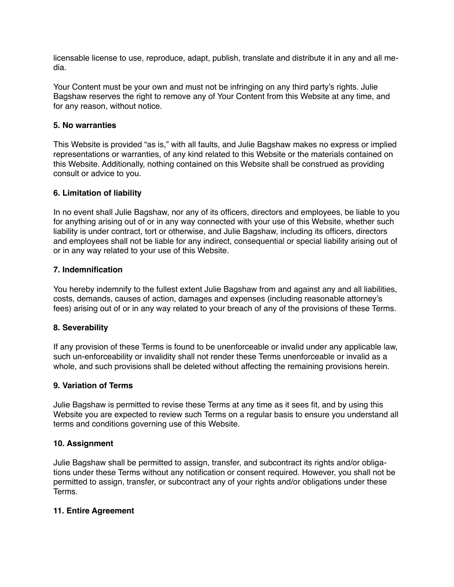licensable license to use, reproduce, adapt, publish, translate and distribute it in any and all media.

Your Content must be your own and must not be infringing on any third party's rights. Julie Bagshaw reserves the right to remove any of Your Content from this Website at any time, and for any reason, without notice.

#### **5. No warranties**

This Website is provided "as is," with all faults, and Julie Bagshaw makes no express or implied representations or warranties, of any kind related to this Website or the materials contained on this Website. Additionally, nothing contained on this Website shall be construed as providing consult or advice to you.

# **6. Limitation of liability**

In no event shall Julie Bagshaw, nor any of its officers, directors and employees, be liable to you for anything arising out of or in any way connected with your use of this Website, whether such liability is under contract, tort or otherwise, and Julie Bagshaw, including its officers, directors and employees shall not be liable for any indirect, consequential or special liability arising out of or in any way related to your use of this Website.

#### **7. Indemnification**

You hereby indemnify to the fullest extent Julie Bagshaw from and against any and all liabilities, costs, demands, causes of action, damages and expenses (including reasonable attorney's fees) arising out of or in any way related to your breach of any of the provisions of these Terms.

# **8. Severability**

If any provision of these Terms is found to be unenforceable or invalid under any applicable law, such un-enforceability or invalidity shall not render these Terms unenforceable or invalid as a whole, and such provisions shall be deleted without affecting the remaining provisions herein.

#### **9. Variation of Terms**

Julie Bagshaw is permitted to revise these Terms at any time as it sees fit, and by using this Website you are expected to review such Terms on a regular basis to ensure you understand all terms and conditions governing use of this Website.

#### **10. Assignment**

Julie Bagshaw shall be permitted to assign, transfer, and subcontract its rights and/or obligations under these Terms without any notification or consent required. However, you shall not be permitted to assign, transfer, or subcontract any of your rights and/or obligations under these Terms.

# **11. Entire Agreement**